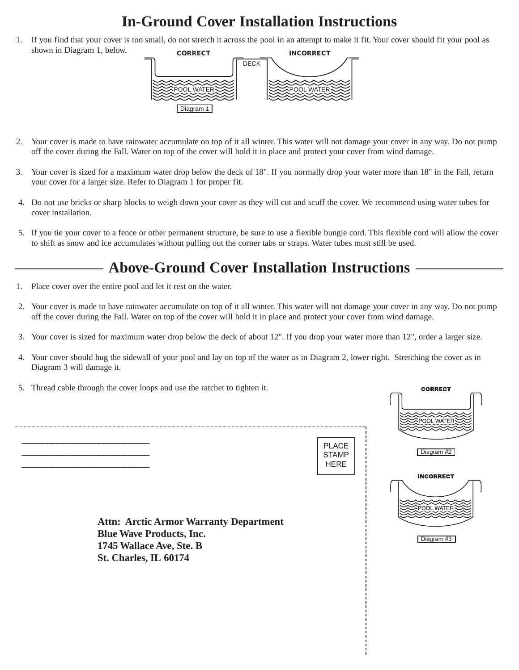## **In-Ground Cover Installation Instructions**

1. If you find that your cover is too small, do not stretch it across the pool in an attempt to make it fit. Your cover should fit your pool as shown in Diagram 1, below. **CORRECT INCORRECT** 



- 2. Your cover is made to have rainwater accumulate on top of it all winter. This water will not damage your cover in any way. Do not pump off the cover during the Fall. Water on top of the cover will hold it in place and protect your cover from wind damage.
- 3. Your cover is sized for a maximum water drop below the deck of 18". If you normally drop your water more than 18" in the Fall, return your cover for a larger size. Refer to Diagram 1 for proper fit.
- 4. Do not use bricks or sharp blocks to weigh down your cover as they will cut and scuff the cover. We recommend using water tubes for cover installation.
- 5. If you tie your cover to a fence or other permanent structure, be sure to use a flexible bungie cord. This flexible cord will allow the cover to shift as snow and ice accumulates without pulling out the corner tabs or straps. Water tubes must still be used.

## **Above-Ground Cover Installation Instructions**

- 1. Place cover over the entire pool and let it rest on the water.
- 2. Your cover is made to have rainwater accumulate on top of it all winter. This water will not damage your cover in any way. Do not pump off the cover during the Fall. Water on top of the cover will hold it in place and protect your cover from wind damage.
- 3. Your cover is sized for maximum water drop below the deck of about 12". If you drop your water more than 12", order a larger size.
- 4. Your cover should hug the sidewall of your pool and lay on top of the water as in Diagram 2, lower right. Stretching the cover as in Diagram 3 will damage it.

 $\cdots$ 

5. Thread cable through the cover loops and use the ratchet to tighten it.

| $\sigma$ . Thread eache unbugh the cover loops and use the fatence to agrite it.                                                      |                                             | <b>CORRECT</b>                                      |
|---------------------------------------------------------------------------------------------------------------------------------------|---------------------------------------------|-----------------------------------------------------|
|                                                                                                                                       |                                             | POOL WATER                                          |
|                                                                                                                                       | <b>PLACE</b><br><b>STAMP</b><br><b>HERE</b> | Diagram #2                                          |
| <b>Attn: Arctic Armor Warranty Department</b><br><b>Blue Wave Products, Inc.</b><br>1745 Wallace Ave, Ste. B<br>St. Charles, IL 60174 |                                             | <b>INCORRECT</b><br><b>POOL WATER</b><br>Diagram #3 |